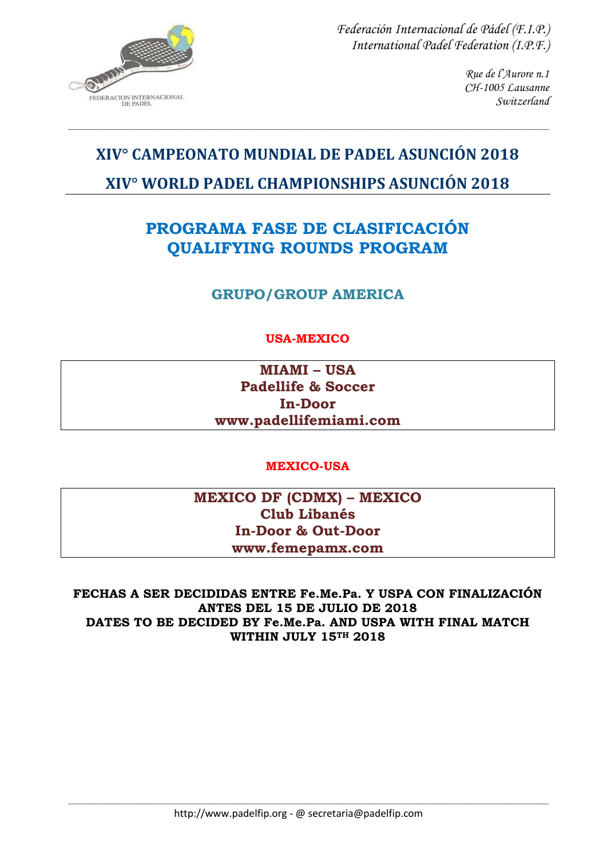

> *Rue de l'Aurore n.1 CH-1005 Lausanne Switzerland*

# **XIV° CAMPEONATO MUNDIAL DE PADEL ASUNCIÓN 2018 XIV° WORLD PADEL CHAMPIONSHIPS ASUNCIÓN 2018**

*\_\_\_\_\_\_\_\_\_\_\_\_\_\_\_\_\_\_\_\_\_\_\_\_\_\_\_\_\_\_\_\_\_\_\_\_\_\_\_\_\_\_\_\_\_\_\_\_\_\_\_\_\_\_\_\_\_\_\_\_\_\_\_\_\_\_\_\_\_\_\_\_\_\_\_\_\_\_\_\_\_\_\_\_\_\_\_\_\_\_\_\_\_\_\_\_\_\_\_\_\_\_\_\_\_\_\_\_\_\_\_\_\_\_\_\_\_\_*

# **PROGRAMA FASE DE CLASIFICACIÓN QUALIFYING ROUNDS PROGRAM**

**GRUPO/GROUP AMERICA**

## **USA-MEXICO**

**MIAMI – USA Padellife & Soccer In-Door www.padellifemiami.com**

#### **MEXICO-USA**

**MEXICO DF (CDMX) – MEXICO Club Libanés In-Door & Out-Door www.femepamx.com**

**FECHAS A SER DECIDIDAS ENTRE Fe.Me.Pa. Y USPA CON FINALIZACIÓN ANTES DEL 15 DE JULIO DE 2018 DATES TO BE DECIDED BY Fe.Me.Pa. AND USPA WITH FINAL MATCH WITHIN JULY 15TH 2018**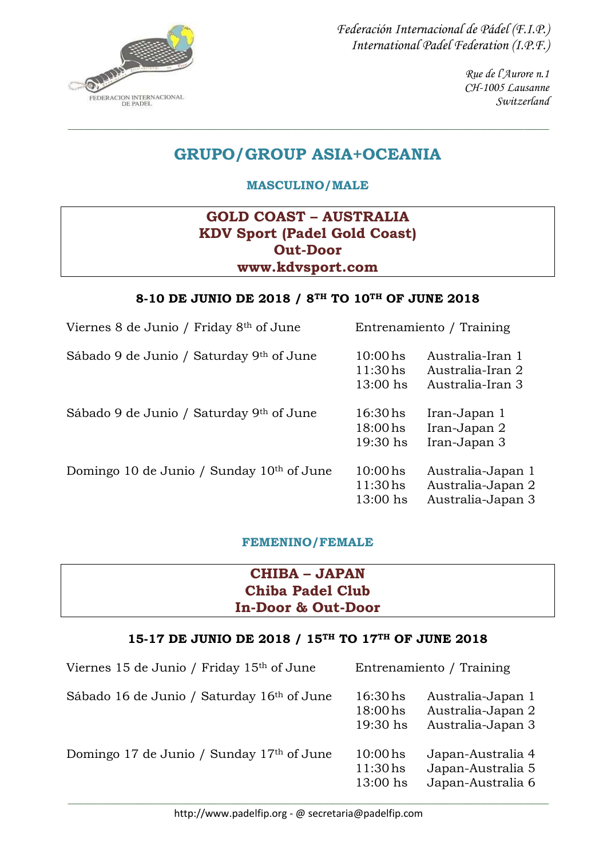

> *Rue de l'Aurore n.1 CH-1005 Lausanne Switzerland*

# **GRUPO/GROUP ASIA+OCEANIA**

*\_\_\_\_\_\_\_\_\_\_\_\_\_\_\_\_\_\_\_\_\_\_\_\_\_\_\_\_\_\_\_\_\_\_\_\_\_\_\_\_\_\_\_\_\_\_\_\_\_\_\_\_\_\_\_\_\_\_\_\_\_\_\_\_\_\_\_\_\_\_\_\_\_\_\_\_\_\_\_\_\_\_\_\_\_\_\_\_\_\_\_\_\_\_\_\_\_\_\_\_\_\_\_\_\_\_\_\_\_\_\_\_\_\_\_\_\_\_*

**MASCULINO/MALE**

## **GOLD COAST – AUSTRALIA KDV Sport (Padel Gold Coast) Out-Door www.kdvsport.com**

#### **8-10 DE JUNIO DE 2018 / 8TH TO 10TH OF JUNE 2018**

| Viernes 8 de Junio / Friday 8th of June   | Entrenamiento / Training               |                                                             |
|-------------------------------------------|----------------------------------------|-------------------------------------------------------------|
| Sábado 9 de Junio / Saturday 9th of June  | $10:00$ hs<br>$11:30$ hs<br>$13:00$ hs | Australia-Iran 1<br>Australia-Iran 2<br>Australia-Iran 3    |
| Sábado 9 de Junio / Saturday 9th of June  | $16:30$ hs<br>$18:00$ hs<br>$19:30$ hs | Iran-Japan 1<br>Iran-Japan 2<br>Iran-Japan 3                |
| Domingo 10 de Junio / Sunday 10th of June | $10:00$ hs<br>$11:30$ hs<br>$13:00$ hs | Australia-Japan 1<br>Australia-Japan 2<br>Australia-Japan 3 |

#### **FEMENINO/FEMALE**

## **CHIBA – JAPAN Chiba Padel Club In-Door & Out-Door**

#### **15-17 DE JUNIO DE 2018 / 15TH TO 17TH OF JUNE 2018**

| Viernes 15 de Junio / Friday 15th of June  |                                               | Entrenamiento / Training                                    |
|--------------------------------------------|-----------------------------------------------|-------------------------------------------------------------|
| Sábado 16 de Junio / Saturday 16th of June | $16:30$ hs<br>18:00 <sub>hs</sub><br>19:30 hs | Australia-Japan 1<br>Australia-Japan 2<br>Australia-Japan 3 |
| Domingo 17 de Junio / Sunday 17th of June  | $10:00$ hs<br>$11:30$ hs<br>$13:00$ hs        | Japan-Australia 4<br>Japan-Australia 5<br>Japan-Australia 6 |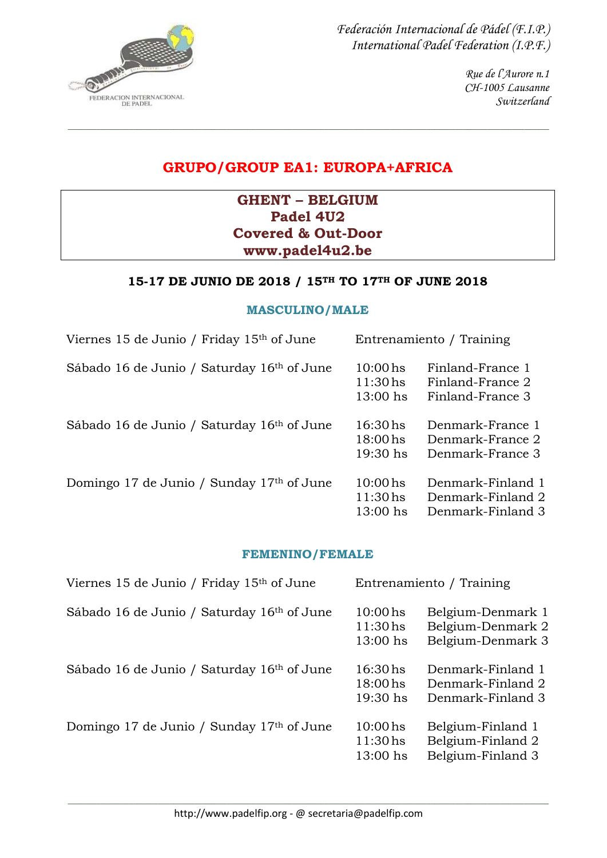

> *Rue de l'Aurore n.1 CH-1005 Lausanne Switzerland*

# **GRUPO/GROUP EA1: EUROPA+AFRICA**

*\_\_\_\_\_\_\_\_\_\_\_\_\_\_\_\_\_\_\_\_\_\_\_\_\_\_\_\_\_\_\_\_\_\_\_\_\_\_\_\_\_\_\_\_\_\_\_\_\_\_\_\_\_\_\_\_\_\_\_\_\_\_\_\_\_\_\_\_\_\_\_\_\_\_\_\_\_\_\_\_\_\_\_\_\_\_\_\_\_\_\_\_\_\_\_\_\_\_\_\_\_\_\_\_\_\_\_\_\_\_\_\_\_\_\_\_\_\_*

## **GHENT – BELGIUM Padel 4U2 Covered & Out-Door www.padel4u2.be**

#### **15-17 DE JUNIO DE 2018 / 15TH TO 17TH OF JUNE 2018**

#### **MASCULINO/MALE**

| Viernes 15 de Junio / Friday 15 <sup>th</sup> of June  |                                        | Entrenamiento / Training                                    |
|--------------------------------------------------------|----------------------------------------|-------------------------------------------------------------|
| Sábado 16 de Junio / Saturday 16th of June             | $10:00$ hs<br>$11:30$ hs<br>$13:00$ hs | Finland-France 1<br>Finland-France 2<br>Finland-France 3    |
| Sábado 16 de Junio / Saturday 16 <sup>th</sup> of June | $16:30$ hs<br>$18:00$ hs<br>$19:30$ hs | Denmark-France 1<br>Denmark-France 2<br>Denmark-France 3    |
| Domingo 17 de Junio / Sunday 17th of June              | $10:00$ hs<br>$11:30$ hs<br>$13:00$ hs | Denmark-Finland 1<br>Denmark-Finland 2<br>Denmark-Finland 3 |

#### **FEMENINO/FEMALE**

| Viernes 15 de Junio / Friday 15th of June              |                                        | Entrenamiento / Training                                    |
|--------------------------------------------------------|----------------------------------------|-------------------------------------------------------------|
| Sábado 16 de Junio / Saturday 16th of June             | $10:00$ hs<br>$11:30$ hs<br>13:00 hs   | Belgium-Denmark 1<br>Belgium-Denmark 2<br>Belgium-Denmark 3 |
| Sábado 16 de Junio / Saturday 16 <sup>th</sup> of June | $16:30$ hs<br>18:00 hs<br>$19:30$ hs   | Denmark-Finland 1<br>Denmark-Finland 2<br>Denmark-Finland 3 |
| Domingo 17 de Junio / Sunday 17th of June              | $10:00$ hs<br>$11:30$ hs<br>$13:00$ hs | Belgium-Finland 1<br>Belgium-Finland 2<br>Belgium-Finland 3 |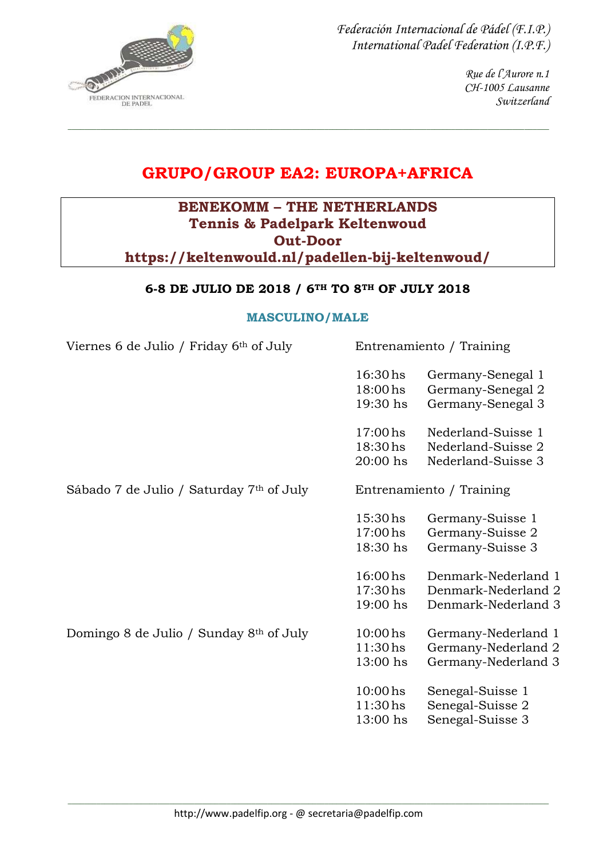

> *Rue de l'Aurore n.1 CH-1005 Lausanne Switzerland*

# **GRUPO/GROUP EA2: EUROPA+AFRICA**

*\_\_\_\_\_\_\_\_\_\_\_\_\_\_\_\_\_\_\_\_\_\_\_\_\_\_\_\_\_\_\_\_\_\_\_\_\_\_\_\_\_\_\_\_\_\_\_\_\_\_\_\_\_\_\_\_\_\_\_\_\_\_\_\_\_\_\_\_\_\_\_\_\_\_\_\_\_\_\_\_\_\_\_\_\_\_\_\_\_\_\_\_\_\_\_\_\_\_\_\_\_\_\_\_\_\_\_\_\_\_\_\_\_\_\_\_\_\_*

## **BENEKOMM – THE NETHERLANDS Tennis & Padelpark Keltenwoud Out-Door https://keltenwould.nl/padellen-bij-keltenwoud/**

#### **6-8 DE JULIO DE 2018 / 6TH TO 8TH OF JULY 2018**

#### **MASCULINO/MALE**

| Viernes 6 de Julio / Friday 6th of July |  |  |  |  |  |
|-----------------------------------------|--|--|--|--|--|
|                                         |  |  |  |  |  |

| Entrenamiento / Training |                   |  |  |
|--------------------------|-------------------|--|--|
| $16:30$ hs               | Germany-Senegal 1 |  |  |
| 18:00 hs                 | Germany-Senegal 2 |  |  |
| 19:30 hs                 | Germany-Senegal 3 |  |  |

| $17:00$ hs          | Nederland-Suisse 1 |
|---------------------|--------------------|
| 18:30 <sub>hs</sub> | Nederland-Suisse 2 |
| $20:00$ hs          | Nederland-Suisse 3 |

Sábado 7 de Julio / Saturday 7<sup>th</sup> of July Entrenamiento / Training

| $15:30$ hs | Germany-Suisse 1 |
|------------|------------------|
| $17:00$ hs | Germany-Suisse 2 |
| $18:30$ hs | Germany-Suisse 3 |

| $16:00$ hs | Denmark-Nederland 1 |
|------------|---------------------|
| $17:30$ hs | Denmark-Nederland 2 |
| $19:00$ hs | Denmark-Nederland 3 |

Domingo 8 de Julio / Sunday 8<sup>th</sup> of July 10:00 hs Germany-Nederland 1 11:30hs Germany-Nederland 2

- 13:00 hs Germany-Nederland 3
- 10:00hs Senegal-Suisse 1 11:30hs Senegal-Suisse 2 13:00 hs Senegal-Suisse 3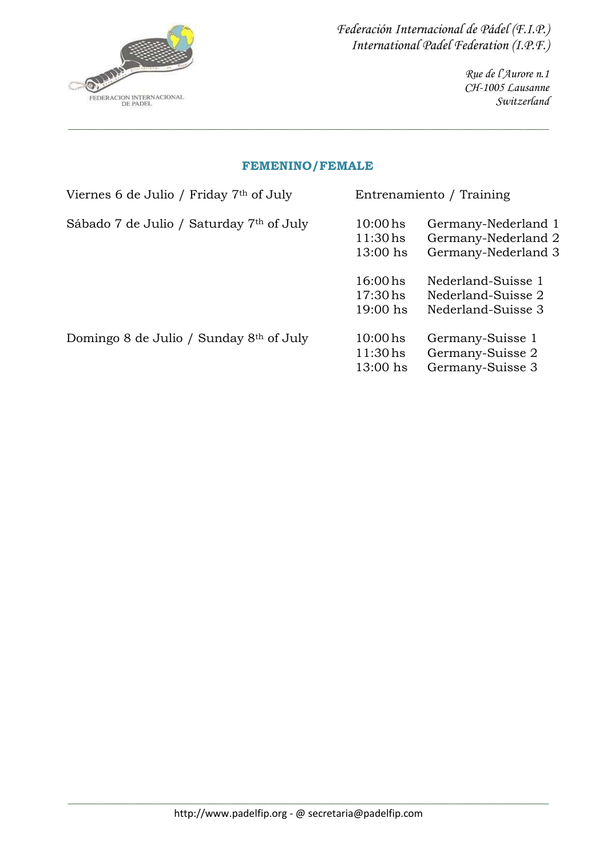

> *Rue de l'Aurore n.1 CH-1005 Lausanne Switzerland*

#### **FEMENINO/FEMALE**

*\_\_\_\_\_\_\_\_\_\_\_\_\_\_\_\_\_\_\_\_\_\_\_\_\_\_\_\_\_\_\_\_\_\_\_\_\_\_\_\_\_\_\_\_\_\_\_\_\_\_\_\_\_\_\_\_\_\_\_\_\_\_\_\_\_\_\_\_\_\_\_\_\_\_\_\_\_\_\_\_\_\_\_\_\_\_\_\_\_\_\_\_\_\_\_\_\_\_\_\_\_\_\_\_\_\_\_\_\_\_\_\_\_\_\_\_\_\_*

| Viernes 6 de Julio / Friday 7 <sup>th</sup> of July |                                        | Entrenamiento / Training                                          |  |  |
|-----------------------------------------------------|----------------------------------------|-------------------------------------------------------------------|--|--|
| Sábado 7 de Julio / Saturday 7th of July            | $10:00$ hs<br>$11:30$ hs<br>$13:00$ hs | Germany-Nederland 1<br>Germany-Nederland 2<br>Germany-Nederland 3 |  |  |
|                                                     | $16:00$ hs<br>$17:30$ hs<br>$19:00$ hs | Nederland-Suisse 1<br>Nederland-Suisse 2<br>Nederland-Suisse 3    |  |  |
| Domingo 8 de Julio / Sunday $8th$ of July           | $10:00$ hs<br>$11:30$ hs<br>13:00 hs   | Germany-Suisse 1<br>Germany-Suisse 2<br>Germany-Suisse 3          |  |  |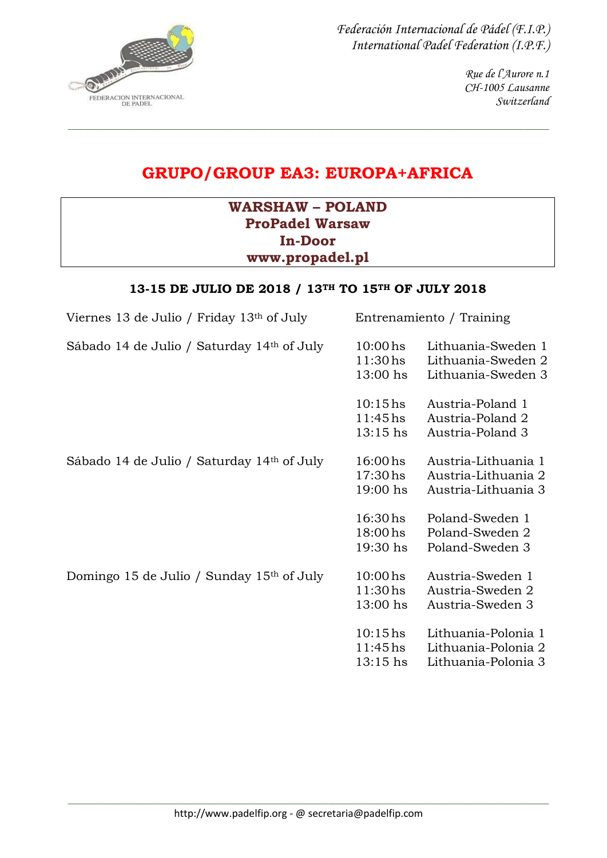$\mathcal{D}$ FEDERACION INTERNACIONAL *Federación Internacional de Pádel (F.I.P.) International Padel Federation (I.P.F.)*

> *Rue de l'Aurore n.1 CH-1005 Lausanne Switzerland*

# **GRUPO/GROUP EA3: EUROPA+AFRICA**

*\_\_\_\_\_\_\_\_\_\_\_\_\_\_\_\_\_\_\_\_\_\_\_\_\_\_\_\_\_\_\_\_\_\_\_\_\_\_\_\_\_\_\_\_\_\_\_\_\_\_\_\_\_\_\_\_\_\_\_\_\_\_\_\_\_\_\_\_\_\_\_\_\_\_\_\_\_\_\_\_\_\_\_\_\_\_\_\_\_\_\_\_\_\_\_\_\_\_\_\_\_\_\_\_\_\_\_\_\_\_\_\_\_\_\_\_\_\_*

## **WARSHAW – POLAND ProPadel Warsaw In-Door www.propadel.pl**

## **13-15 DE JULIO DE 2018 / 13TH TO 15TH OF JULY 2018**

| Viernes 13 de Julio / Friday $13th$ of July            | Entrenamiento / Training                        |                                                                   |  |
|--------------------------------------------------------|-------------------------------------------------|-------------------------------------------------------------------|--|
| Sábado 14 de Julio / Saturday 14 <sup>th</sup> of July | $10:00$ hs<br>$11:30$ hs<br>13:00 hs            | Lithuania-Sweden 1<br>Lithuania-Sweden 2<br>Lithuania-Sweden 3    |  |
|                                                        | $10:15$ hs<br>$11:45$ hs<br>$13:15$ hs          | Austria-Poland 1<br>Austria-Poland 2<br>Austria-Poland 3          |  |
| Sábado 14 de Julio / Saturday 14th of July             | 16:00 <sub>hs</sub><br>$17:30$ hs<br>$19:00$ hs | Austria-Lithuania 1<br>Austria-Lithuania 2<br>Austria-Lithuania 3 |  |
|                                                        | $16:30 \,\mathrm{hs}$<br>$18:00$ hs<br>19:30 hs | Poland-Sweden 1<br>Poland-Sweden 2<br>Poland-Sweden 3             |  |
| Domingo 15 de Julio / Sunday 15th of July              | $10:00$ hs<br>$11:30$ hs<br>$13:00$ hs          | Austria-Sweden 1<br>Austria-Sweden 2<br>Austria-Sweden 3          |  |
|                                                        | $10:15$ hs<br>$11:45$ hs<br>$13:15$ hs          | Lithuania-Polonia 1<br>Lithuania-Polonia 2<br>Lithuania-Polonia 3 |  |